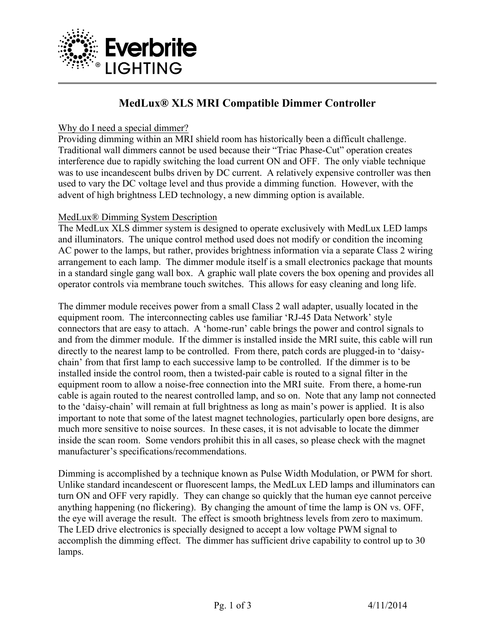

# **MedLux® XLS MRI Compatible Dimmer Controller**

### Why do I need a special dimmer?

Providing dimming within an MRI shield room has historically been a difficult challenge. Traditional wall dimmers cannot be used because their "Triac Phase-Cut" operation creates interference due to rapidly switching the load current ON and OFF. The only viable technique was to use incandescent bulbs driven by DC current. A relatively expensive controller was then used to vary the DC voltage level and thus provide a dimming function. However, with the advent of high brightness LED technology, a new dimming option is available.

## MedLux® Dimming System Description

The MedLux XLS dimmer system is designed to operate exclusively with MedLux LED lamps and illuminators. The unique control method used does not modify or condition the incoming AC power to the lamps, but rather, provides brightness information via a separate Class 2 wiring arrangement to each lamp. The dimmer module itself is a small electronics package that mounts in a standard single gang wall box. A graphic wall plate covers the box opening and provides all operator controls via membrane touch switches. This allows for easy cleaning and long life.

The dimmer module receives power from a small Class 2 wall adapter, usually located in the equipment room. The interconnecting cables use familiar 'RJ-45 Data Network' style connectors that are easy to attach. A 'home-run' cable brings the power and control signals to and from the dimmer module. If the dimmer is installed inside the MRI suite, this cable will run directly to the nearest lamp to be controlled. From there, patch cords are plugged-in to 'daisychain' from that first lamp to each successive lamp to be controlled. If the dimmer is to be installed inside the control room, then a twisted-pair cable is routed to a signal filter in the equipment room to allow a noise-free connection into the MRI suite. From there, a home-run cable is again routed to the nearest controlled lamp, and so on. Note that any lamp not connected to the 'daisy-chain' will remain at full brightness as long as main's power is applied. It is also important to note that some of the latest magnet technologies, particularly open bore designs, are much more sensitive to noise sources. In these cases, it is not advisable to locate the dimmer inside the scan room. Some vendors prohibit this in all cases, so please check with the magnet manufacturer's specifications/recommendations.

Dimming is accomplished by a technique known as Pulse Width Modulation, or PWM for short. Unlike standard incandescent or fluorescent lamps, the MedLux LED lamps and illuminators can turn ON and OFF very rapidly. They can change so quickly that the human eye cannot perceive anything happening (no flickering). By changing the amount of time the lamp is ON vs. OFF, the eye will average the result. The effect is smooth brightness levels from zero to maximum. The LED drive electronics is specially designed to accept a low voltage PWM signal to accomplish the dimming effect. The dimmer has sufficient drive capability to control up to 30 lamps.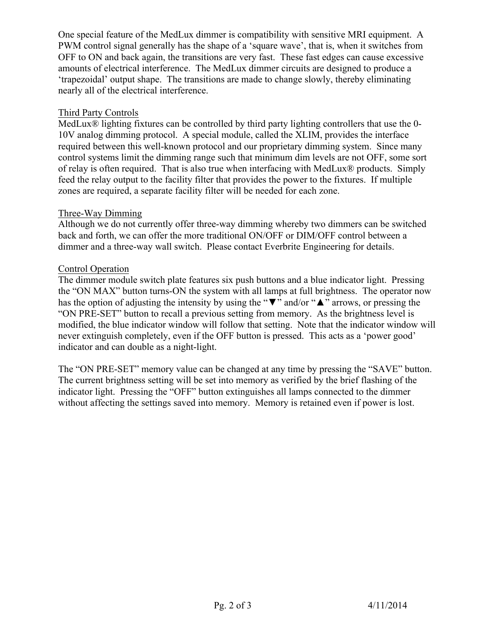One special feature of the MedLux dimmer is compatibility with sensitive MRI equipment. A PWM control signal generally has the shape of a 'square wave', that is, when it switches from OFF to ON and back again, the transitions are very fast. These fast edges can cause excessive amounts of electrical interference. The MedLux dimmer circuits are designed to produce a 'trapezoidal' output shape. The transitions are made to change slowly, thereby eliminating nearly all of the electrical interference.

### Third Party Controls

MedLux<sup>®</sup> lighting fixtures can be controlled by third party lighting controllers that use the 0-10V analog dimming protocol. A special module, called the XLIM, provides the interface required between this well-known protocol and our proprietary dimming system. Since many control systems limit the dimming range such that minimum dim levels are not OFF, some sort of relay is often required. That is also true when interfacing with MedLux® products. Simply feed the relay output to the facility filter that provides the power to the fixtures. If multiple zones are required, a separate facility filter will be needed for each zone.

#### Three-Way Dimming

Although we do not currently offer three-way dimming whereby two dimmers can be switched back and forth, we can offer the more traditional ON/OFF or DIM/OFF control between a dimmer and a three-way wall switch. Please contact Everbrite Engineering for details.

#### Control Operation

The dimmer module switch plate features six push buttons and a blue indicator light. Pressing the "ON MAX" button turns-ON the system with all lamps at full brightness. The operator now has the option of adjusting the intensity by using the "▼" and/or "▲" arrows, or pressing the "ON PRE-SET" button to recall a previous setting from memory. As the brightness level is modified, the blue indicator window will follow that setting. Note that the indicator window will never extinguish completely, even if the OFF button is pressed. This acts as a 'power good' indicator and can double as a night-light.

The "ON PRE-SET" memory value can be changed at any time by pressing the "SAVE" button. The current brightness setting will be set into memory as verified by the brief flashing of the indicator light. Pressing the "OFF" button extinguishes all lamps connected to the dimmer without affecting the settings saved into memory. Memory is retained even if power is lost.